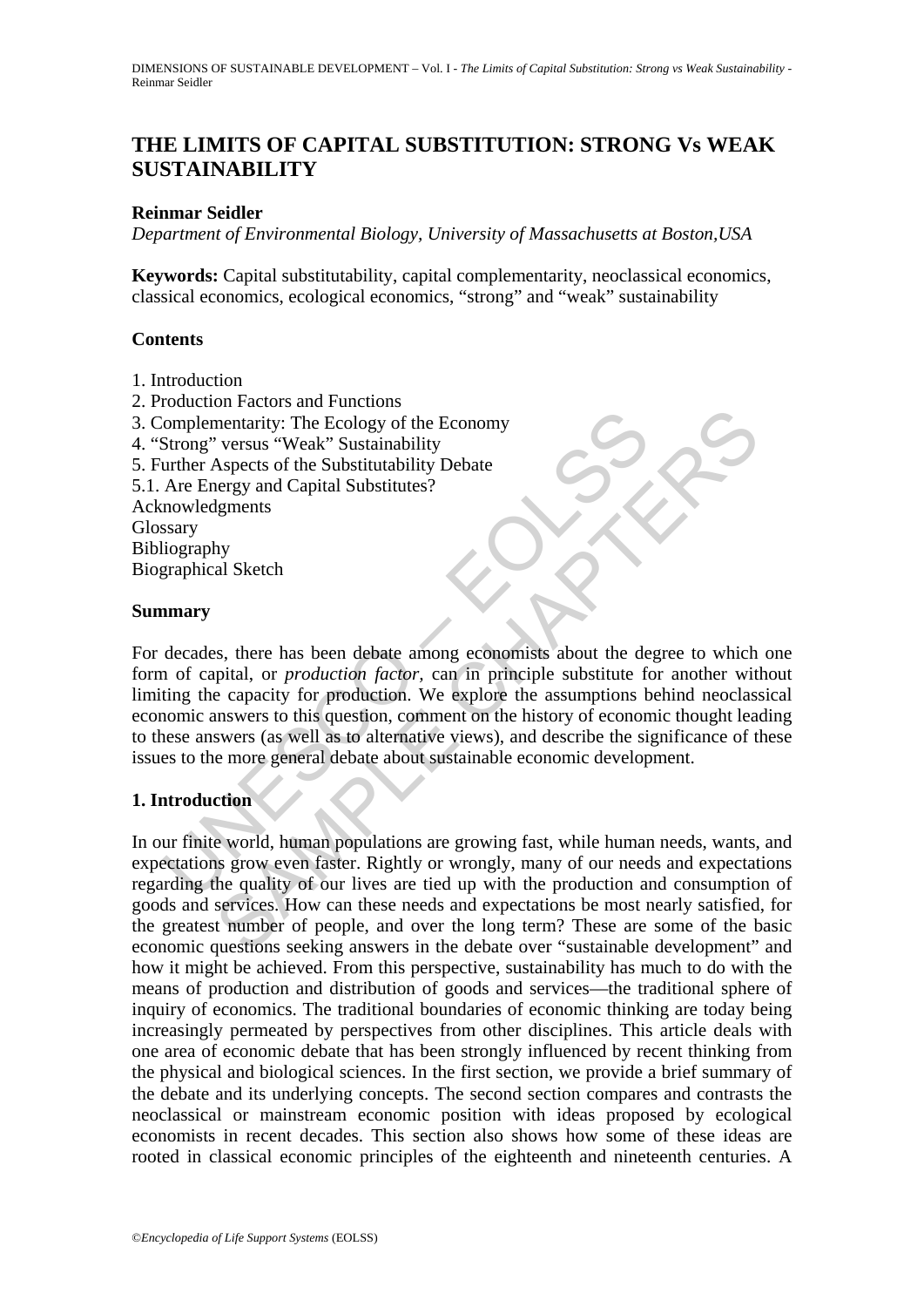# **THE LIMITS OF CAPITAL SUBSTITUTION: STRONG Vs WEAK SUSTAINABILITY**

## **Reinmar Seidler**

*Department of Environmental Biology, University of Massachusetts at Boston,USA* 

**Keywords:** Capital substitutability, capital complementarity, neoclassical economics, classical economics, ecological economics, "strong" and "weak" sustainability

#### **Contents**

- 1. Introduction
- 2. Production Factors and Functions
- 3. Complementarity: The Ecology of the Economy
- 4. "Strong" versus "Weak" Sustainability
- 5. Further Aspects of the Substitutability Debate
- 5.1. Are Energy and Capital Substitutes?

Acknowledgments Glossary Bibliography

Biographical Sketch

#### **Summary**

Complementarity: The Ecology of the Economy<br>
Strong" versus "Weak" Sustainability<br>
Strong" versus "Weak" Sustainability<br>
Debate<br>
Are Energy and Capital Substitutes?<br>
Are Energy and Capital Substitutes?<br>
Seary<br>
strong and C or a world, human populations are growing fast, while human needs, wants,<br>abecess of the Substitutability Debate<br>despects of the Substitutability Debate<br>legry and Capital Substitutes?<br>Ignements<br>they can all Sketch<br>and Sket For decades, there has been debate among economists about the degree to which one form of capital, or *production factor,* can in principle substitute for another without limiting the capacity for production. We explore the assumptions behind neoclassical economic answers to this question, comment on the history of economic thought leading to these answers (as well as to alternative views), and describe the significance of these issues to the more general debate about sustainable economic development.

## **1. Introduction**

In our finite world, human populations are growing fast, while human needs, wants, and expectations grow even faster. Rightly or wrongly, many of our needs and expectations regarding the quality of our lives are tied up with the production and consumption of goods and services. How can these needs and expectations be most nearly satisfied, for the greatest number of people, and over the long term? These are some of the basic economic questions seeking answers in the debate over "sustainable development" and how it might be achieved. From this perspective, sustainability has much to do with the means of production and distribution of goods and services—the traditional sphere of inquiry of economics. The traditional boundaries of economic thinking are today being increasingly permeated by perspectives from other disciplines. This article deals with one area of economic debate that has been strongly influenced by recent thinking from the physical and biological sciences. In the first section, we provide a brief summary of the debate and its underlying concepts. The second section compares and contrasts the neoclassical or mainstream economic position with ideas proposed by ecological economists in recent decades. This section also shows how some of these ideas are rooted in classical economic principles of the eighteenth and nineteenth centuries. A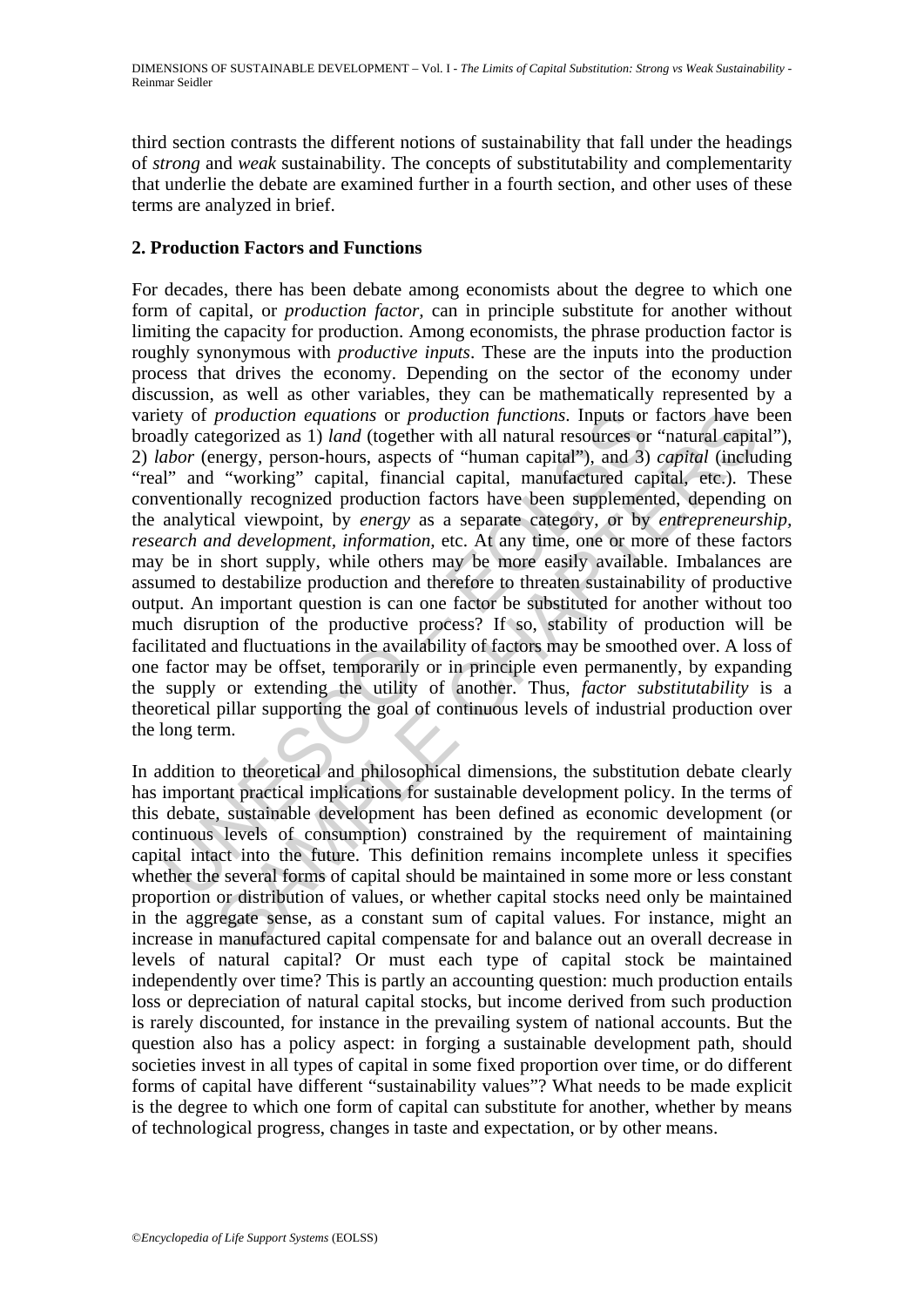third section contrasts the different notions of sustainability that fall under the headings of *strong* and *weak* sustainability. The concepts of substitutability and complementarity that underlie the debate are examined further in a fourth section, and other uses of these terms are analyzed in brief.

### **2. Production Factors and Functions**

ety of *production equations* or *production functions*. Inputs or<br>*ddy* categorized as 1) *land* (together with all natural resources or<br>*abov* (energy, person-hours, aspects of "human capital"), and 3)<br>are working" capit production equations or production functions. Inputs or factors have tegorized as 1) land (together with all natural resources or "natural equity" working" capital, financial capital, manufactured capital, etc.). Tially r For decades, there has been debate among economists about the degree to which one form of capital, or *production factor,* can in principle substitute for another without limiting the capacity for production. Among economists, the phrase production factor is roughly synonymous with *productive inputs*. These are the inputs into the production process that drives the economy. Depending on the sector of the economy under discussion, as well as other variables, they can be mathematically represented by a variety of *production equations* or *production functions*. Inputs or factors have been broadly categorized as 1) *land* (together with all natural resources or "natural capital"), 2) *labor* (energy, person-hours, aspects of "human capital"), and 3) *capital* (including "real" and "working" capital, financial capital, manufactured capital, etc.). These conventionally recognized production factors have been supplemented, depending on the analytical viewpoint, by *energy* as a separate category, or by *entrepreneurship, research and development, information, etc.* At any time, one or more of these factors may be in short supply, while others may be more easily available. Imbalances are assumed to destabilize production and therefore to threaten sustainability of productive output. An important question is can one factor be substituted for another without too much disruption of the productive process? If so, stability of production will be facilitated and fluctuations in the availability of factors may be smoothed over. A loss of one factor may be offset, temporarily or in principle even permanently, by expanding the supply or extending the utility of another. Thus, *factor substitutability* is a theoretical pillar supporting the goal of continuous levels of industrial production over the long term.

In addition to theoretical and philosophical dimensions, the substitution debate clearly has important practical implications for sustainable development policy. In the terms of this debate, sustainable development has been defined as economic development (or continuous levels of consumption) constrained by the requirement of maintaining capital intact into the future. This definition remains incomplete unless it specifies whether the several forms of capital should be maintained in some more or less constant proportion or distribution of values, or whether capital stocks need only be maintained in the aggregate sense, as a constant sum of capital values. For instance, might an increase in manufactured capital compensate for and balance out an overall decrease in levels of natural capital? Or must each type of capital stock be maintained independently over time? This is partly an accounting question: much production entails loss or depreciation of natural capital stocks, but income derived from such production is rarely discounted, for instance in the prevailing system of national accounts. But the question also has a policy aspect: in forging a sustainable development path, should societies invest in all types of capital in some fixed proportion over time, or do different forms of capital have different "sustainability values"? What needs to be made explicit is the degree to which one form of capital can substitute for another, whether by means of technological progress, changes in taste and expectation, or by other means.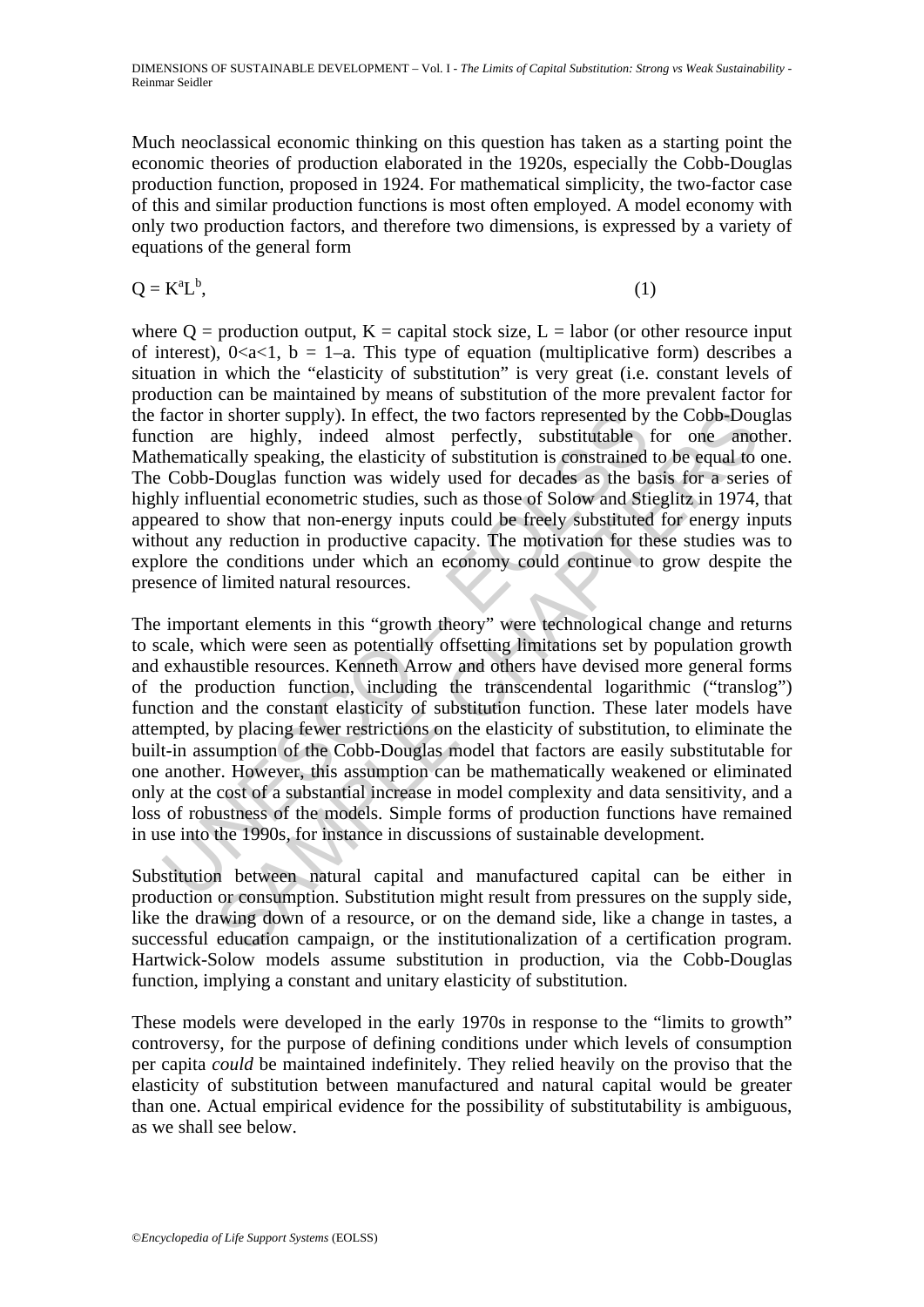Much neoclassical economic thinking on this question has taken as a starting point the economic theories of production elaborated in the 1920s, especially the Cobb-Douglas production function, proposed in 1924. For mathematical simplicity, the two-factor case of this and similar production functions is most often employed. A model economy with only two production factors, and therefore two dimensions, is expressed by a variety of equations of the general form

$$
Q = K^a L^b, \tag{1}
$$

where  $Q =$  production output,  $K =$  capital stock size,  $L =$  labor (or other resource input of interest),  $0 \lt a \lt 1$ ,  $b = 1-a$ . This type of equation (multiplicative form) describes a situation in which the "elasticity of substitution" is very great (i.e. constant levels of production can be maintained by means of substitution of the more prevalent factor for the factor in shorter supply). In effect, the two factors represented by the Cobb-Douglas function are highly, indeed almost perfectly, substitutable for one another. Mathematically speaking, the elasticity of substitution is constrained to be equal to one. The Cobb-Douglas function was widely used for decades as the basis for a series of highly influential econometric studies, such as those of Solow and Stieglitz in 1974, that appeared to show that non-energy inputs could be freely substituted for energy inputs without any reduction in productive capacity. The motivation for these studies was to explore the conditions under which an economy could continue to grow despite the presence of limited natural resources.

factor in shorter supply). In effect, the two factors represented by<br>tion are highly, indeed almost perfectly, substitutable<br>hematically speaking, the elasticity of substitution is constrained<br>Cobb-Douglas function was wid n shorter supply). In effect, the two factors represented by the Cobb-Douar highly, indeed almost perfectly, substitutable for one amole and prograd is constrained to be equal to Douglas function was widely used for decade The important elements in this "growth theory" were technological change and returns to scale, which were seen as potentially offsetting limitations set by population growth and exhaustible resources. Kenneth Arrow and others have devised more general forms of the production function, including the transcendental logarithmic ("translog") function and the constant elasticity of substitution function. These later models have attempted, by placing fewer restrictions on the elasticity of substitution, to eliminate the built-in assumption of the Cobb-Douglas model that factors are easily substitutable for one another. However, this assumption can be mathematically weakened or eliminated only at the cost of a substantial increase in model complexity and data sensitivity, and a loss of robustness of the models. Simple forms of production functions have remained in use into the 1990s, for instance in discussions of sustainable development.

Substitution between natural capital and manufactured capital can be either in production or consumption. Substitution might result from pressures on the supply side, like the drawing down of a resource, or on the demand side, like a change in tastes, a successful education campaign, or the institutionalization of a certification program. Hartwick-Solow models assume substitution in production, via the Cobb-Douglas function, implying a constant and unitary elasticity of substitution.

These models were developed in the early 1970s in response to the "limits to growth" controversy, for the purpose of defining conditions under which levels of consumption per capita *could* be maintained indefinitely. They relied heavily on the proviso that the elasticity of substitution between manufactured and natural capital would be greater than one. Actual empirical evidence for the possibility of substitutability is ambiguous, as we shall see below.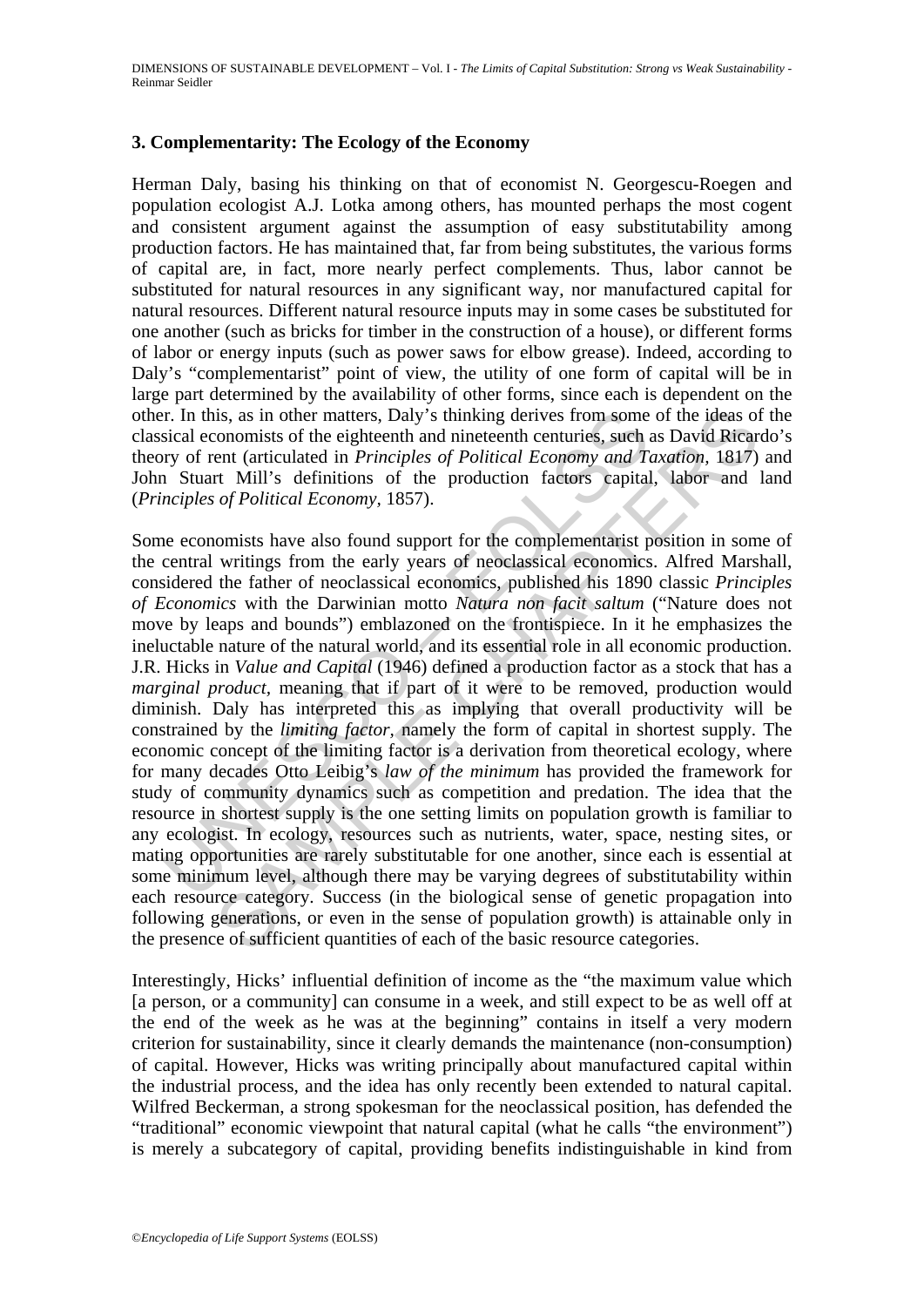#### **3. Complementarity: The Ecology of the Economy**

Herman Daly, basing his thinking on that of economist N. Georgescu-Roegen and population ecologist A.J. Lotka among others, has mounted perhaps the most cogent and consistent argument against the assumption of easy substitutability among production factors. He has maintained that, far from being substitutes, the various forms of capital are, in fact, more nearly perfect complements. Thus, labor cannot be substituted for natural resources in any significant way, nor manufactured capital for natural resources. Different natural resource inputs may in some cases be substituted for one another (such as bricks for timber in the construction of a house), or different forms of labor or energy inputs (such as power saws for elbow grease). Indeed, according to Daly's "complementarist" point of view, the utility of one form of capital will be in large part determined by the availability of other forms, since each is dependent on the other. In this, as in other matters, Daly's thinking derives from some of the ideas of the classical economists of the eighteenth and nineteenth centuries, such as David Ricardo's theory of rent (articulated in *Principles of Political Economy and Taxation,* 1817) and John Stuart Mill's definitions of the production factors capital, labor and land (*Principles of Political Economy,* 1857).

I. In this, as in other matters, Daly's thinking derives from some<br>sical economists of the eighteenth and nineteenth centuries, such a<br>proport cent (articulated in *Principles of Political Economy and Ti*<br>noiples of Polit is, as in other matters, Daly's thinking derives from some of the ideas of one<br>conomists of the eighteenth and nineteenth centurics, such as David Riecar<br>ent (articulated in *Principles of Political Economy and Taxation*, Some economists have also found support for the complementarist position in some of the central writings from the early years of neoclassical economics. Alfred Marshall, considered the father of neoclassical economics, published his 1890 classic *Principles of Economics* with the Darwinian motto *Natura non facit saltum* ("Nature does not move by leaps and bounds") emblazoned on the frontispiece. In it he emphasizes the ineluctable nature of the natural world, and its essential role in all economic production. J.R. Hicks in *Value and Capital* (1946) defined a production factor as a stock that has a *marginal product*, meaning that if part of it were to be removed, production would diminish. Daly has interpreted this as implying that overall productivity will be constrained by the *limiting factor,* namely the form of capital in shortest supply. The economic concept of the limiting factor is a derivation from theoretical ecology, where for many decades Otto Leibig's *law of the minimum* has provided the framework for study of community dynamics such as competition and predation. The idea that the resource in shortest supply is the one setting limits on population growth is familiar to any ecologist. In ecology, resources such as nutrients, water, space, nesting sites, or mating opportunities are rarely substitutable for one another, since each is essential at some minimum level, although there may be varying degrees of substitutability within each resource category. Success (in the biological sense of genetic propagation into following generations, or even in the sense of population growth) is attainable only in the presence of sufficient quantities of each of the basic resource categories.

Interestingly, Hicks' influential definition of income as the "the maximum value which [a person, or a community] can consume in a week, and still expect to be as well off at the end of the week as he was at the beginning" contains in itself a very modern criterion for sustainability, since it clearly demands the maintenance (non-consumption) of capital. However, Hicks was writing principally about manufactured capital within the industrial process, and the idea has only recently been extended to natural capital. Wilfred Beckerman, a strong spokesman for the neoclassical position, has defended the "traditional" economic viewpoint that natural capital (what he calls "the environment") is merely a subcategory of capital, providing benefits indistinguishable in kind from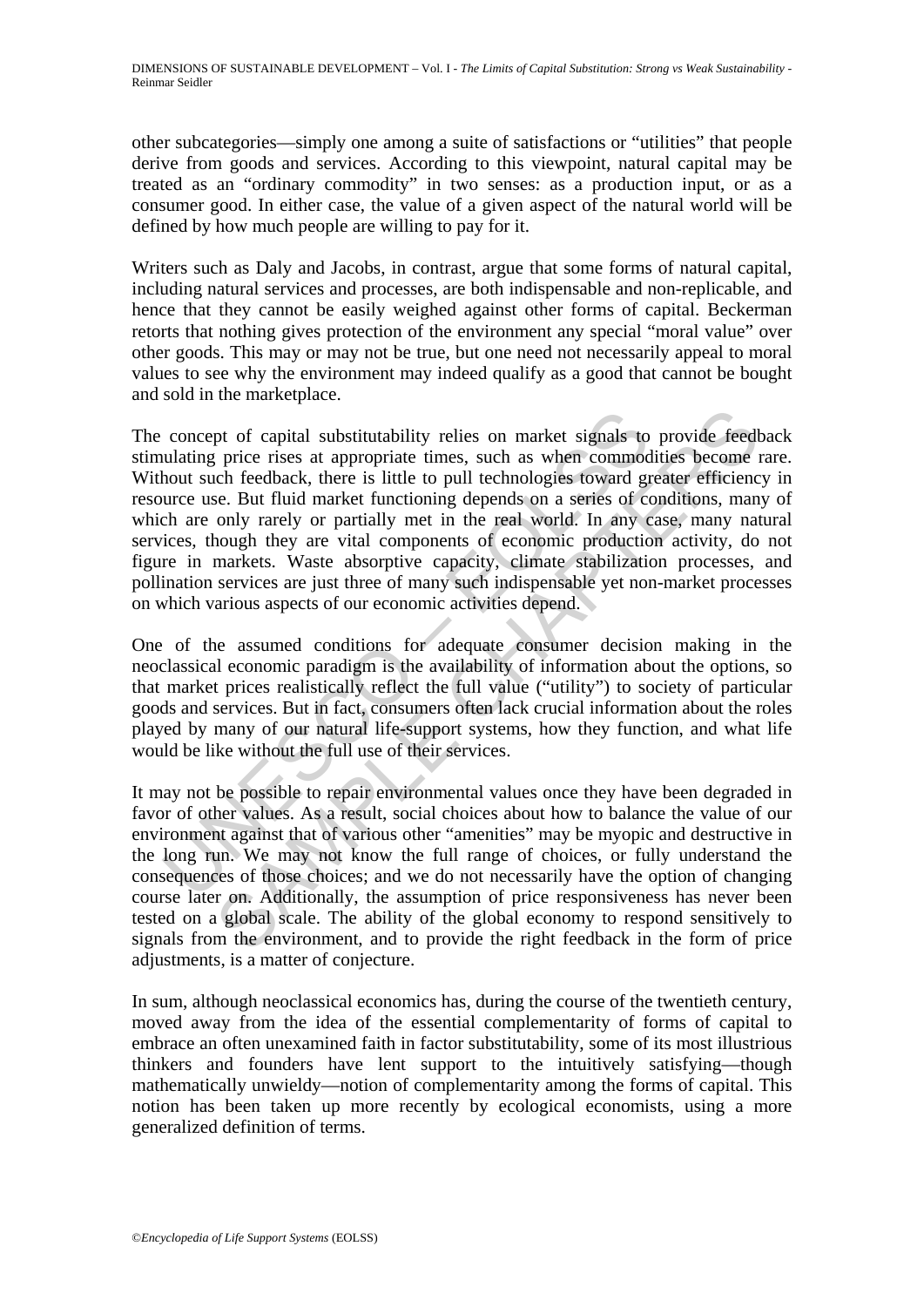other subcategories—simply one among a suite of satisfactions or "utilities" that people derive from goods and services. According to this viewpoint, natural capital may be treated as an "ordinary commodity" in two senses: as a production input, or as a consumer good. In either case, the value of a given aspect of the natural world will be defined by how much people are willing to pay for it.

Writers such as Daly and Jacobs, in contrast, argue that some forms of natural capital, including natural services and processes, are both indispensable and non-replicable, and hence that they cannot be easily weighed against other forms of capital. Beckerman retorts that nothing gives protection of the environment any special "moral value" over other goods. This may or may not be true, but one need not necessarily appeal to moral values to see why the environment may indeed qualify as a good that cannot be bought and sold in the marketplace.

concept of capital substitutability relies on market signals to<br>uulating price rises at appropriate times, such as when commod<br>hout such feedback, there is little to pull technologies toward gure<br>cure use. But fluid market pt of capital substitutability relies on market signals to provide feed<br>price rises at appropriate times, such as when commodities become<br>che feedback, there is little to pull technologies toward greater efficienc<br>e. But f The concept of capital substitutability relies on market signals to provide feedback stimulating price rises at appropriate times, such as when commodities become rare. Without such feedback, there is little to pull technologies toward greater efficiency in resource use. But fluid market functioning depends on a series of conditions, many of which are only rarely or partially met in the real world. In any case, many natural services, though they are vital components of economic production activity, do not figure in markets. Waste absorptive capacity, climate stabilization processes, and pollination services are just three of many such indispensable yet non-market processes on which various aspects of our economic activities depend.

One of the assumed conditions for adequate consumer decision making in the neoclassical economic paradigm is the availability of information about the options, so that market prices realistically reflect the full value ("utility") to society of particular goods and services. But in fact, consumers often lack crucial information about the roles played by many of our natural life-support systems, how they function, and what life would be like without the full use of their services.

It may not be possible to repair environmental values once they have been degraded in favor of other values. As a result, social choices about how to balance the value of our environment against that of various other "amenities" may be myopic and destructive in the long run. We may not know the full range of choices, or fully understand the consequences of those choices; and we do not necessarily have the option of changing course later on. Additionally, the assumption of price responsiveness has never been tested on a global scale. The ability of the global economy to respond sensitively to signals from the environment, and to provide the right feedback in the form of price adjustments, is a matter of conjecture.

In sum, although neoclassical economics has, during the course of the twentieth century, moved away from the idea of the essential complementarity of forms of capital to embrace an often unexamined faith in factor substitutability, some of its most illustrious thinkers and founders have lent support to the intuitively satisfying—though mathematically unwieldy—notion of complementarity among the forms of capital. This notion has been taken up more recently by ecological economists, using a more generalized definition of terms.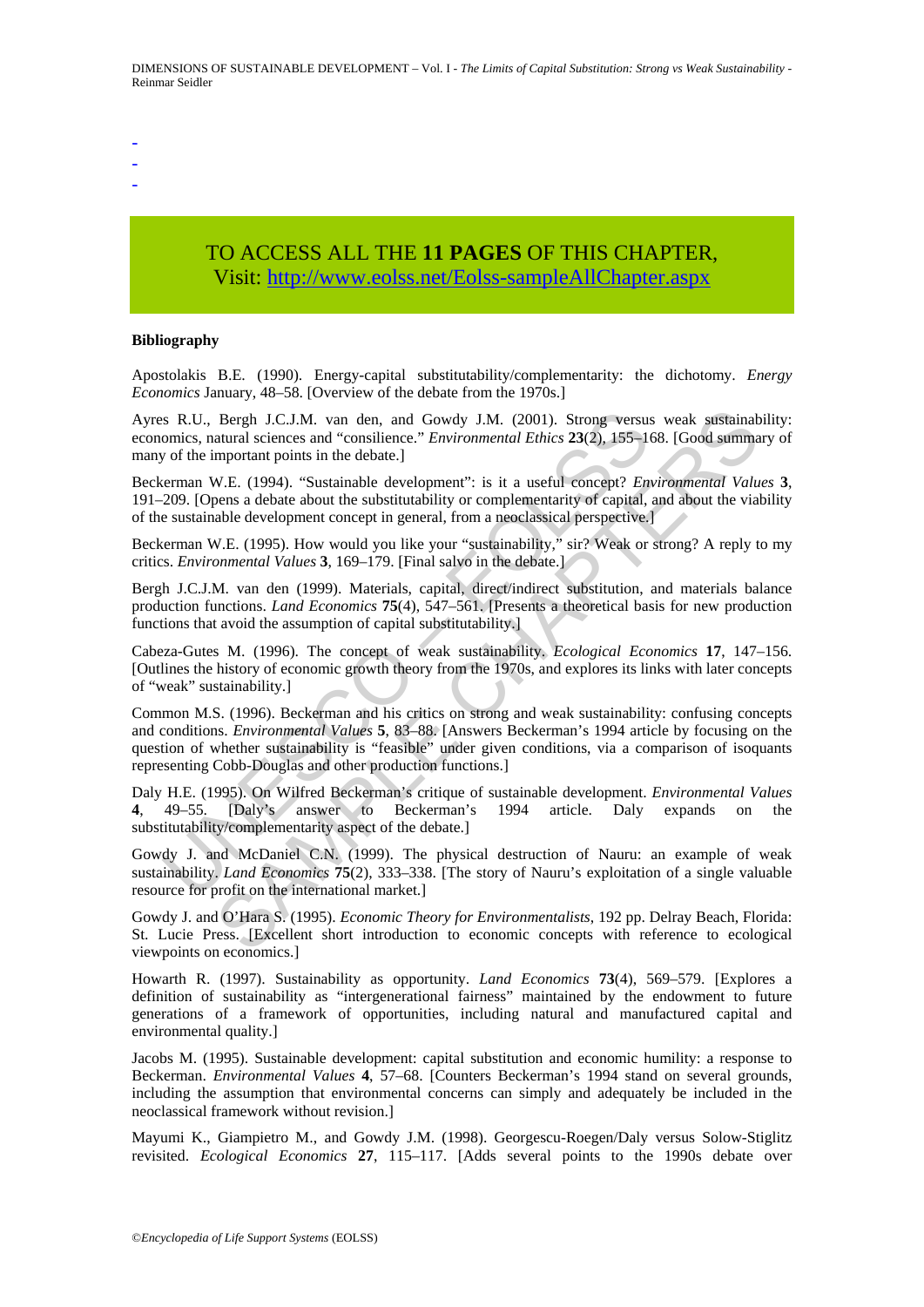- -
- -
- -

## TO ACCESS ALL THE **11 PAGES** OF THIS CHAPTER, Visit: [http://www.eolss.net/Eolss-sampleAllChapter.aspx](https://www.eolss.net/ebooklib/sc_cart.aspx?File=E1-46B-13)

#### **Bibliography**

Apostolakis B.E. (1990). Energy-capital substitutability/complementarity: the dichotomy. *Energy Economics* January, 48–58. [Overview of the debate from the 1970s.]

Ayres R.U., Bergh J.C.J.M. van den, and Gowdy J.M. (2001). Strong versus weak sustainability: economics, natural sciences and "consilience." *Environmental Ethics* **23**(2), 155–168. [Good summary of many of the important points in the debate.]

Beckerman W.E. (1994). "Sustainable development": is it a useful concept? *Environmental Values* **3**, 191–209. [Opens a debate about the substitutability or complementarity of capital, and about the viability of the sustainable development concept in general, from a neoclassical perspective.]

Beckerman W.E. (1995). How would you like your "sustainability," sir? Weak or strong? A reply to my critics. *Environmental Values* **3**, 169–179. [Final salvo in the debate.]

Bergh J.C.J.M. van den (1999). Materials, capital, direct/indirect substitution, and materials balance production functions. *Land Economics* **75**(4), 547–561. [Presents a theoretical basis for new production functions that avoid the assumption of capital substitutability.]

Cabeza-Gutes M. (1996). The concept of weak sustainability. *Ecological Economics* **17**, 147–156. [Outlines the history of economic growth theory from the 1970s, and explores its links with later concepts of "weak" sustainability.]

s R.U., Bergh J.C.J.M. van den, and Gowdy J.M. (2001). Strong versus<br>omics, natural sciences and "consilience." *Environmental Ethics* 23(2), 155–10<br>or the important points in the debat.]<br>creman W.E. (1994). "Sustainable d Bergh J.C.J.M. van den, and Gowdy J.M. (2001). Strong versus weak sustainat<br>atural sciences and "consilence." *Environmental Ethics* 23(2), 155–168. [Good summa<br>mportant points in the debate.]<br>W.E. (1994). "Sustainable dev Common M.S. (1996). Beckerman and his critics on strong and weak sustainability: confusing concepts and conditions. *Environmental Values* **5**, 83–88. [Answers Beckerman's 1994 article by focusing on the question of whether sustainability is "feasible" under given conditions, via a comparison of isoquants representing Cobb-Douglas and other production functions.]

Daly H.E. (1995). On Wilfred Beckerman's critique of sustainable development. *Environmental Values* **4**, 49–55. [Daly's answer to Beckerman's 1994 article. Daly expands on the substitutability/complementarity aspect of the debate.]

Gowdy J. and McDaniel C.N. (1999). The physical destruction of Nauru: an example of weak sustainability. *Land Economics* **75**(2), 333–338. [The story of Nauru's exploitation of a single valuable resource for profit on the international market.]

Gowdy J. and O'Hara S. (1995). *Economic Theory for Environmentalists*, 192 pp. Delray Beach, Florida: St. Lucie Press. [Excellent short introduction to economic concepts with reference to ecological viewpoints on economics.]

Howarth R. (1997). Sustainability as opportunity. *Land Economics* **73**(4), 569–579. [Explores a definition of sustainability as "intergenerational fairness" maintained by the endowment to future generations of a framework of opportunities, including natural and manufactured capital and environmental quality.]

Jacobs M. (1995). Sustainable development: capital substitution and economic humility: a response to Beckerman. *Environmental Values* **4**, 57–68. [Counters Beckerman's 1994 stand on several grounds, including the assumption that environmental concerns can simply and adequately be included in the neoclassical framework without revision.]

Mayumi K., Giampietro M., and Gowdy J.M. (1998). Georgescu-Roegen/Daly versus Solow-Stiglitz revisited. *Ecological Economics* **27**, 115–117. [Adds several points to the 1990s debate over